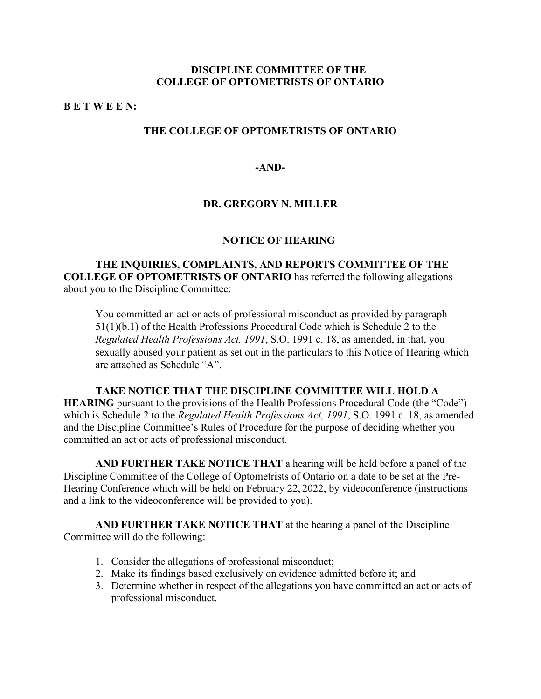## **DISCIPLINE COMMITTEE OF THE COLLEGE OF OPTOMETRISTS OF ONTARIO**

### **B E T W E E N:**

## **THE COLLEGE OF OPTOMETRISTS OF ONTARIO**

### **-AND-**

## **DR. GREGORY N. MILLER**

#### **NOTICE OF HEARING**

## **THE INQUIRIES, COMPLAINTS, AND REPORTS COMMITTEE OF THE COLLEGE OF OPTOMETRISTS OF ONTARIO** has referred the following allegations about you to the Discipline Committee:

You committed an act or acts of professional misconduct as provided by paragraph 51(1)(b.1) of the Health Professions Procedural Code which is Schedule 2 to the *Regulated Health Professions Act, 1991*, S.O. 1991 c. 18, as amended, in that, you sexually abused your patient as set out in the particulars to this Notice of Hearing which are attached as Schedule "A".

# **TAKE NOTICE THAT THE DISCIPLINE COMMITTEE WILL HOLD A HEARING** pursuant to the provisions of the Health Professions Procedural Code (the "Code") which is Schedule 2 to the *Regulated Health Professions Act, 1991*, S.O. 1991 c. 18, as amended and the Discipline Committee's Rules of Procedure for the purpose of deciding whether you committed an act or acts of professional misconduct.

**AND FURTHER TAKE NOTICE THAT** a hearing will be held before a panel of the Discipline Committee of the College of Optometrists of Ontario on a date to be set at the Pre-Hearing Conference which will be held on February 22, 2022, by videoconference (instructions and a link to the videoconference will be provided to you).

**AND FURTHER TAKE NOTICE THAT** at the hearing a panel of the Discipline Committee will do the following:

- 1. Consider the allegations of professional misconduct;
- 2. Make its findings based exclusively on evidence admitted before it; and
- 3. Determine whether in respect of the allegations you have committed an act or acts of professional misconduct.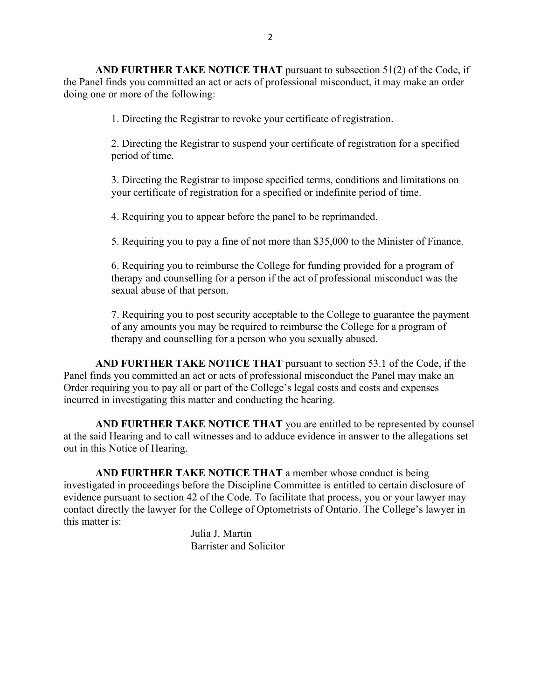**AND FURTHER TAKE NOTICE THAT** pursuant to subsection 51(2) of the Code, if the Panel finds you committed an act or acts of professional misconduct, it may make an order doing one or more of the following:

1. Directing the Registrar to revoke your certificate of registration.

2. Directing the Registrar to suspend your certificate of registration for a specified period of time.

3. Directing the Registrar to impose specified terms, conditions and limitations on your certificate of registration for a specified or indefinite period of time.

4. Requiring you to appear before the panel to be reprimanded.

5. Requiring you to pay a fine of not more than \$35,000 to the Minister of Finance.

6. Requiring you to reimburse the College for funding provided for a program of therapy and counselling for a person if the act of professional misconduct was the sexual abuse of that person.

7. Requiring you to post security acceptable to the College to guarantee the payment of any amounts you may be required to reimburse the College for a program of therapy and counselling for a person who you sexually abused.

**AND FURTHER TAKE NOTICE THAT** pursuant to section 53.1 of the Code, if the Panel finds you committed an act or acts of professional misconduct the Panel may make an Order requiring you to pay all or part of the College's legal costs and costs and expenses incurred in investigating this matter and conducting the hearing.

**AND FURTHER TAKE NOTICE THAT** you are entitled to be represented by counsel at the said Hearing and to call witnesses and to adduce evidence in answer to the allegations set out in this Notice of Hearing.

**AND FURTHER TAKE NOTICE THAT** a member whose conduct is being investigated in proceedings before the Discipline Committee is entitled to certain disclosure of evidence pursuant to section 42 of the Code. To facilitate that process, you or your lawyer may contact directly the lawyer for the College of Optometrists of Ontario. The College's lawyer in this matter is:

> Julia J. Martin Barrister and Solicitor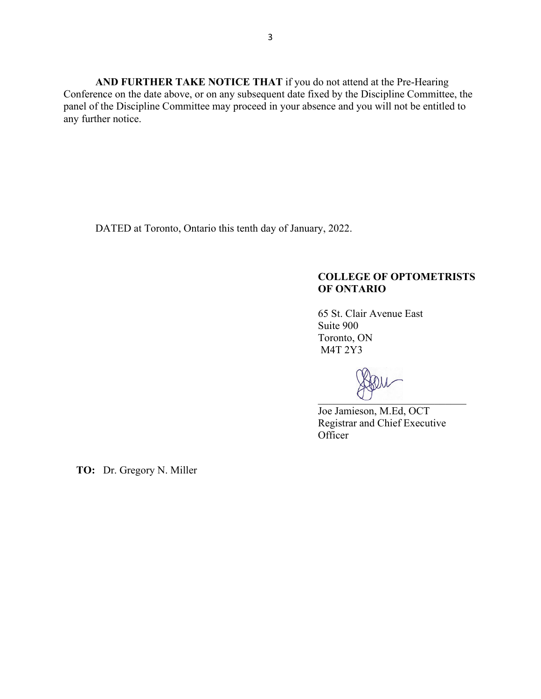**AND FURTHER TAKE NOTICE THAT** if you do not attend at the Pre-Hearing Conference on the date above, or on any subsequent date fixed by the Discipline Committee, the panel of the Discipline Committee may proceed in your absence and you will not be entitled to any further notice.

DATED at Toronto, Ontario this tenth day of January, 2022.

# **COLLEGE OF OPTOMETRISTS OF ONTARIO**

65 St. Clair Avenue East Suite 900 Toronto, ON M4T 2Y3

\_\_\_\_\_\_\_\_\_\_\_\_\_\_\_\_\_\_\_\_\_\_\_\_\_\_\_\_

Joe Jamieson, M.Ed, OCT Registrar and Chief Executive **Officer** 

**TO:** Dr. Gregory N. Miller